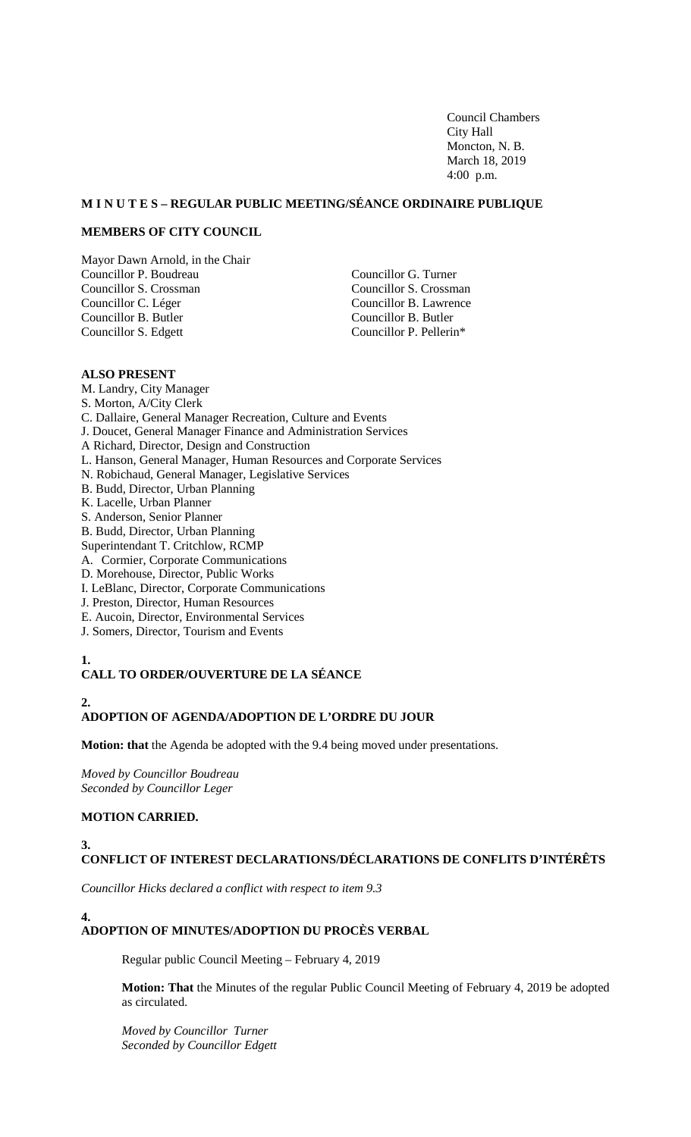Council Chambers City Hall Moncton, N. B. March 18, 2019 4:00 p.m.

## **M I N U T E S – REGULAR PUBLIC MEETING/SÉANCE ORDINAIRE PUBLIQUE**

## **MEMBERS OF CITY COUNCIL**

Mayor Dawn Arnold, in the Chair Councillor P. Boudreau Councillor S. Crossman Councillor C. Léger Councillor B. Butler Councillor S. Edgett

Councillor G. Turner Councillor S. Crossman Councillor B. Lawrence Councillor B. Butler Councillor P. Pellerin\*

## **ALSO PRESENT**

- M. Landry, City Manager S. Morton, A/City Clerk C. Dallaire, General Manager Recreation, Culture and Events J. Doucet, General Manager Finance and Administration Services A Richard, Director, Design and Construction L. Hanson, General Manager, Human Resources and Corporate Services N. Robichaud, General Manager, Legislative Services B. Budd, Director, Urban Planning K. Lacelle, Urban Planner S. Anderson, Senior Planner B. Budd, Director, Urban Planning Superintendant T. Critchlow, RCMP A. Cormier, Corporate Communications D. Morehouse, Director, Public Works I. LeBlanc, Director, Corporate Communications
- J. Preston, Director, Human Resources
- 
- E. Aucoin, Director, Environmental Services
- J. Somers, Director, Tourism and Events

## **1.**

# **CALL TO ORDER/OUVERTURE DE LA SÉANCE**

# **2.**

**4.**

# **ADOPTION OF AGENDA/ADOPTION DE L'ORDRE DU JOUR**

**Motion: that** the Agenda be adopted with the 9.4 being moved under presentations.

*Moved by Councillor Boudreau Seconded by Councillor Leger*

## **MOTION CARRIED.**

#### **3. CONFLICT OF INTEREST DECLARATIONS/DÉCLARATIONS DE CONFLITS D'INTÉRÊTS**

*Councillor Hicks declared a conflict with respect to item 9.3* 

# **ADOPTION OF MINUTES/ADOPTION DU PROCÈS VERBAL**

Regular public Council Meeting – February 4, 2019

**Motion: That** the Minutes of the regular Public Council Meeting of February 4, 2019 be adopted as circulated.

*Moved by Councillor Turner Seconded by Councillor Edgett*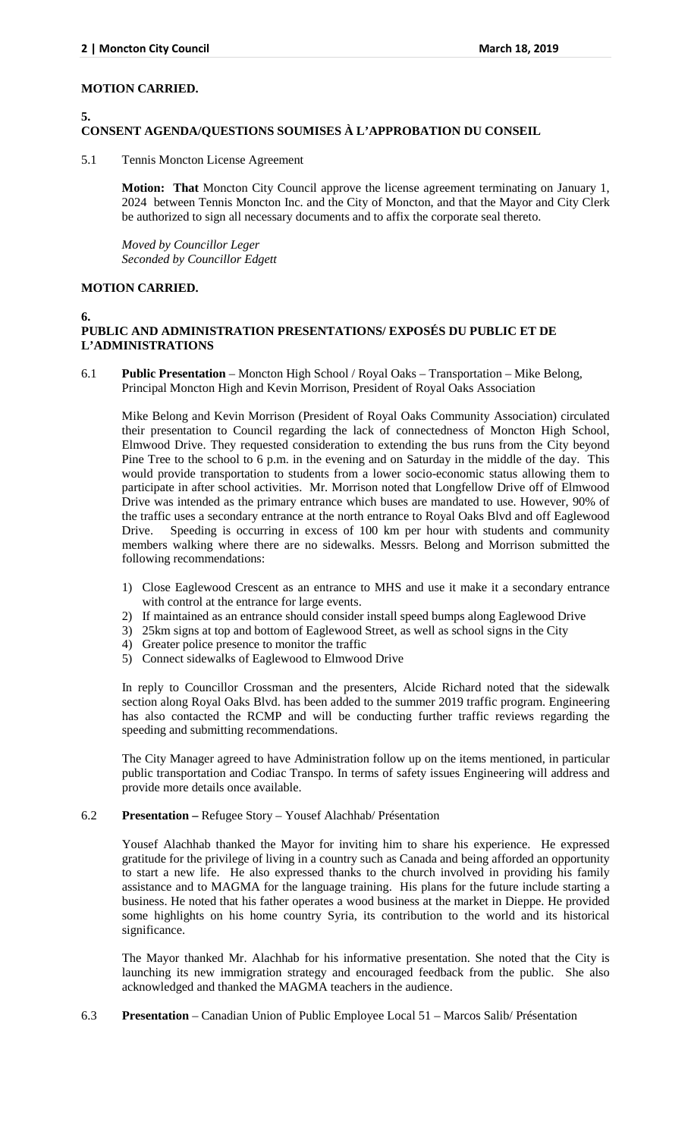## **MOTION CARRIED.**

#### **5.**

# **CONSENT AGENDA/QUESTIONS SOUMISES À L'APPROBATION DU CONSEIL**

5.1 Tennis Moncton License Agreement

**Motion: That** Moncton City Council approve the license agreement terminating on January 1, 2024 between Tennis Moncton Inc. and the City of Moncton, and that the Mayor and City Clerk be authorized to sign all necessary documents and to affix the corporate seal thereto.

*Moved by Councillor Leger Seconded by Councillor Edgett*

# **MOTION CARRIED.**

#### **6.**

# **PUBLIC AND ADMINISTRATION PRESENTATIONS/ EXPOSÉS DU PUBLIC ET DE L'ADMINISTRATIONS**

6.1 **Public Presentation** – Moncton High School / Royal Oaks – Transportation – Mike Belong, Principal Moncton High and Kevin Morrison, President of Royal Oaks Association

Mike Belong and Kevin Morrison (President of Royal Oaks Community Association) circulated their presentation to Council regarding the lack of connectedness of Moncton High School, Elmwood Drive. They requested consideration to extending the bus runs from the City beyond Pine Tree to the school to 6 p.m. in the evening and on Saturday in the middle of the day. This would provide transportation to students from a lower socio-economic status allowing them to participate in after school activities. Mr. Morrison noted that Longfellow Drive off of Elmwood Drive was intended as the primary entrance which buses are mandated to use. However, 90% of the traffic uses a secondary entrance at the north entrance to Royal Oaks Blvd and off Eaglewood Drive. Speeding is occurring in excess of 100 km per hour with students and community members walking where there are no sidewalks. Messrs. Belong and Morrison submitted the following recommendations:

- 1) Close Eaglewood Crescent as an entrance to MHS and use it make it a secondary entrance with control at the entrance for large events.
- 2) If maintained as an entrance should consider install speed bumps along Eaglewood Drive
- 3) 25km signs at top and bottom of Eaglewood Street, as well as school signs in the City
- 4) Greater police presence to monitor the traffic
- 5) Connect sidewalks of Eaglewood to Elmwood Drive

In reply to Councillor Crossman and the presenters, Alcide Richard noted that the sidewalk section along Royal Oaks Blvd. has been added to the summer 2019 traffic program. Engineering has also contacted the RCMP and will be conducting further traffic reviews regarding the speeding and submitting recommendations.

The City Manager agreed to have Administration follow up on the items mentioned, in particular public transportation and Codiac Transpo. In terms of safety issues Engineering will address and provide more details once available.

## 6.2 **Presentation –** Refugee Story – Yousef Alachhab/ Présentation

Yousef Alachhab thanked the Mayor for inviting him to share his experience. He expressed gratitude for the privilege of living in a country such as Canada and being afforded an opportunity to start a new life. He also expressed thanks to the church involved in providing his family assistance and to MAGMA for the language training. His plans for the future include starting a business. He noted that his father operates a wood business at the market in Dieppe. He provided some highlights on his home country Syria, its contribution to the world and its historical significance.

The Mayor thanked Mr. Alachhab for his informative presentation. She noted that the City is launching its new immigration strategy and encouraged feedback from the public. She also acknowledged and thanked the MAGMA teachers in the audience.

6.3 **Presentation** – Canadian Union of Public Employee Local 51 – Marcos Salib/ Présentation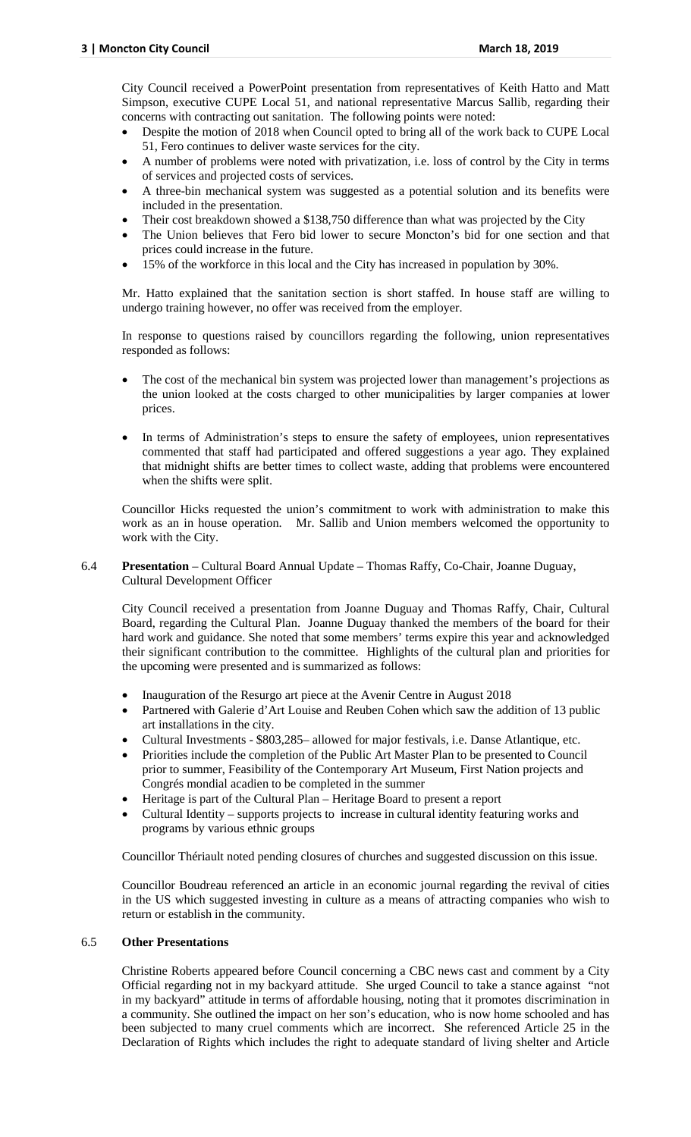City Council received a PowerPoint presentation from representatives of Keith Hatto and Matt Simpson, executive CUPE Local 51, and national representative Marcus Sallib, regarding their concerns with contracting out sanitation. The following points were noted:

- Despite the motion of 2018 when Council opted to bring all of the work back to CUPE Local 51, Fero continues to deliver waste services for the city.
- A number of problems were noted with privatization, i.e. loss of control by the City in terms of services and projected costs of services.
- A three-bin mechanical system was suggested as a potential solution and its benefits were included in the presentation.
- Their cost breakdown showed a \$138,750 difference than what was projected by the City
- The Union believes that Fero bid lower to secure Moncton's bid for one section and that prices could increase in the future.
- 15% of the workforce in this local and the City has increased in population by 30%.

Mr. Hatto explained that the sanitation section is short staffed. In house staff are willing to undergo training however, no offer was received from the employer.

In response to questions raised by councillors regarding the following, union representatives responded as follows:

- The cost of the mechanical bin system was projected lower than management's projections as the union looked at the costs charged to other municipalities by larger companies at lower prices.
- In terms of Administration's steps to ensure the safety of employees, union representatives commented that staff had participated and offered suggestions a year ago. They explained that midnight shifts are better times to collect waste, adding that problems were encountered when the shifts were split.

Councillor Hicks requested the union's commitment to work with administration to make this work as an in house operation. Mr. Sallib and Union members welcomed the opportunity to work with the City.

## 6.4 **Presentation** – Cultural Board Annual Update – Thomas Raffy, Co-Chair, Joanne Duguay, Cultural Development Officer

City Council received a presentation from Joanne Duguay and Thomas Raffy, Chair, Cultural Board, regarding the Cultural Plan. Joanne Duguay thanked the members of the board for their hard work and guidance. She noted that some members' terms expire this year and acknowledged their significant contribution to the committee. Highlights of the cultural plan and priorities for the upcoming were presented and is summarized as follows:

- Inauguration of the Resurgo art piece at the Avenir Centre in August 2018
- Partnered with Galerie d'Art Louise and Reuben Cohen which saw the addition of 13 public art installations in the city.
- Cultural Investments \$803,285– allowed for major festivals, i.e. Danse Atlantique, etc.
- Priorities include the completion of the Public Art Master Plan to be presented to Council prior to summer, Feasibility of the Contemporary Art Museum, First Nation projects and Congrés mondial acadien to be completed in the summer
- Heritage is part of the Cultural Plan Heritage Board to present a report
- Cultural Identity supports projects to increase in cultural identity featuring works and programs by various ethnic groups

Councillor Thériault noted pending closures of churches and suggested discussion on this issue.

Councillor Boudreau referenced an article in an economic journal regarding the revival of cities in the US which suggested investing in culture as a means of attracting companies who wish to return or establish in the community.

## 6.5 **Other Presentations**

Christine Roberts appeared before Council concerning a CBC news cast and comment by a City Official regarding not in my backyard attitude. She urged Council to take a stance against "not in my backyard" attitude in terms of affordable housing, noting that it promotes discrimination in a community. She outlined the impact on her son's education, who is now home schooled and has been subjected to many cruel comments which are incorrect. She referenced Article 25 in the Declaration of Rights which includes the right to adequate standard of living shelter and Article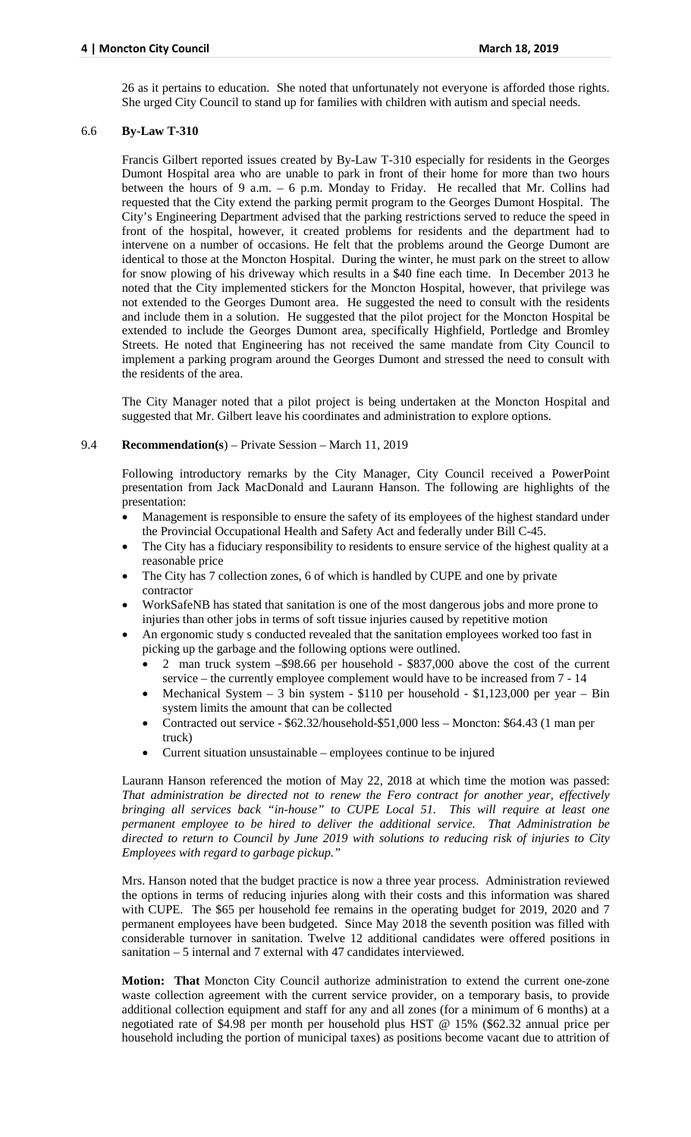26 as it pertains to education. She noted that unfortunately not everyone is afforded those rights. She urged City Council to stand up for families with children with autism and special needs.

## 6.6 **By-Law T-310**

Francis Gilbert reported issues created by By-Law T-310 especially for residents in the Georges Dumont Hospital area who are unable to park in front of their home for more than two hours between the hours of 9 a.m. – 6 p.m. Monday to Friday. He recalled that Mr. Collins had requested that the City extend the parking permit program to the Georges Dumont Hospital. The City's Engineering Department advised that the parking restrictions served to reduce the speed in front of the hospital, however, it created problems for residents and the department had to intervene on a number of occasions. He felt that the problems around the George Dumont are identical to those at the Moncton Hospital. During the winter, he must park on the street to allow for snow plowing of his driveway which results in a \$40 fine each time. In December 2013 he noted that the City implemented stickers for the Moncton Hospital, however, that privilege was not extended to the Georges Dumont area. He suggested the need to consult with the residents and include them in a solution. He suggested that the pilot project for the Moncton Hospital be extended to include the Georges Dumont area, specifically Highfield, Portledge and Bromley Streets. He noted that Engineering has not received the same mandate from City Council to implement a parking program around the Georges Dumont and stressed the need to consult with the residents of the area.

The City Manager noted that a pilot project is being undertaken at the Moncton Hospital and suggested that Mr. Gilbert leave his coordinates and administration to explore options.

## 9.4 **Recommendation(s**) – Private Session – March 11, 2019

Following introductory remarks by the City Manager, City Council received a PowerPoint presentation from Jack MacDonald and Laurann Hanson. The following are highlights of the presentation:

- Management is responsible to ensure the safety of its employees of the highest standard under the Provincial Occupational Health and Safety Act and federally under Bill C-45.
- The City has a fiduciary responsibility to residents to ensure service of the highest quality at a reasonable price
- The City has 7 collection zones, 6 of which is handled by CUPE and one by private contractor
- WorkSafeNB has stated that sanitation is one of the most dangerous jobs and more prone to injuries than other jobs in terms of soft tissue injuries caused by repetitive motion
- An ergonomic study s conducted revealed that the sanitation employees worked too fast in picking up the garbage and the following options were outlined.
	- 2 man truck system –\$98.66 per household \$837,000 above the cost of the current service – the currently employee complement would have to be increased from 7 - 14
	- Mechanical System 3 bin system \$110 per household \$1,123,000 per year Bin system limits the amount that can be collected
	- Contracted out service \$62.32/household-\$51,000 less Moncton: \$64.43 (1 man per truck)
	- Current situation unsustainable employees continue to be injured

Laurann Hanson referenced the motion of May 22, 2018 at which time the motion was passed: *That administration be directed not to renew the Fero contract for another year, effectively bringing all services back "in-house" to CUPE Local 51. This will require at least one permanent employee to be hired to deliver the additional service. That Administration be directed to return to Council by June 2019 with solutions to reducing risk of injuries to City Employees with regard to garbage pickup."*

Mrs. Hanson noted that the budget practice is now a three year process. Administration reviewed the options in terms of reducing injuries along with their costs and this information was shared with CUPE. The \$65 per household fee remains in the operating budget for 2019, 2020 and 7 permanent employees have been budgeted. Since May 2018 the seventh position was filled with considerable turnover in sanitation. Twelve 12 additional candidates were offered positions in sanitation – 5 internal and 7 external with 47 candidates interviewed.

**Motion: That** Moncton City Council authorize administration to extend the current one-zone waste collection agreement with the current service provider, on a temporary basis, to provide additional collection equipment and staff for any and all zones (for a minimum of 6 months) at a negotiated rate of \$4.98 per month per household plus HST @ 15% (\$62.32 annual price per household including the portion of municipal taxes) as positions become vacant due to attrition of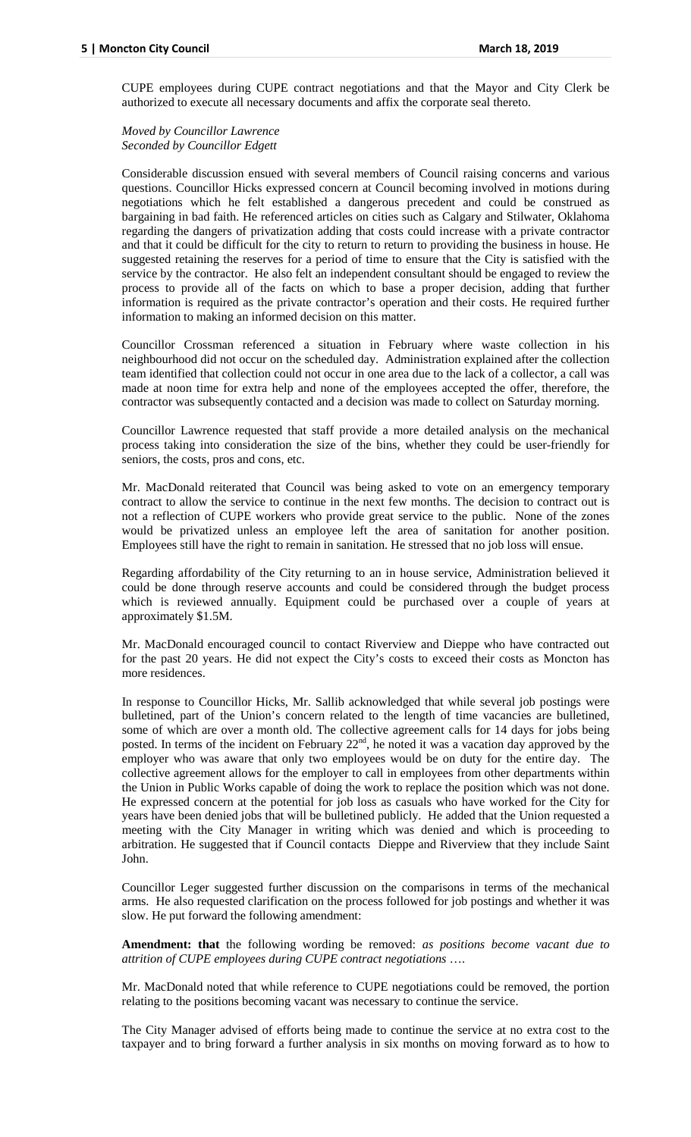CUPE employees during CUPE contract negotiations and that the Mayor and City Clerk be authorized to execute all necessary documents and affix the corporate seal thereto.

*Moved by Councillor Lawrence Seconded by Councillor Edgett*

Considerable discussion ensued with several members of Council raising concerns and various questions. Councillor Hicks expressed concern at Council becoming involved in motions during negotiations which he felt established a dangerous precedent and could be construed as bargaining in bad faith. He referenced articles on cities such as Calgary and Stilwater, Oklahoma regarding the dangers of privatization adding that costs could increase with a private contractor and that it could be difficult for the city to return to return to providing the business in house. He suggested retaining the reserves for a period of time to ensure that the City is satisfied with the service by the contractor. He also felt an independent consultant should be engaged to review the process to provide all of the facts on which to base a proper decision, adding that further information is required as the private contractor's operation and their costs. He required further information to making an informed decision on this matter.

Councillor Crossman referenced a situation in February where waste collection in his neighbourhood did not occur on the scheduled day. Administration explained after the collection team identified that collection could not occur in one area due to the lack of a collector, a call was made at noon time for extra help and none of the employees accepted the offer, therefore, the contractor was subsequently contacted and a decision was made to collect on Saturday morning.

Councillor Lawrence requested that staff provide a more detailed analysis on the mechanical process taking into consideration the size of the bins, whether they could be user-friendly for seniors, the costs, pros and cons, etc.

Mr. MacDonald reiterated that Council was being asked to vote on an emergency temporary contract to allow the service to continue in the next few months. The decision to contract out is not a reflection of CUPE workers who provide great service to the public. None of the zones would be privatized unless an employee left the area of sanitation for another position. Employees still have the right to remain in sanitation. He stressed that no job loss will ensue.

Regarding affordability of the City returning to an in house service, Administration believed it could be done through reserve accounts and could be considered through the budget process which is reviewed annually. Equipment could be purchased over a couple of years at approximately \$1.5M.

Mr. MacDonald encouraged council to contact Riverview and Dieppe who have contracted out for the past 20 years. He did not expect the City's costs to exceed their costs as Moncton has more residences.

In response to Councillor Hicks, Mr. Sallib acknowledged that while several job postings were bulletined, part of the Union's concern related to the length of time vacancies are bulletined, some of which are over a month old. The collective agreement calls for 14 days for jobs being posted. In terms of the incident on February  $22<sup>nd</sup>$ , he noted it was a vacation day approved by the employer who was aware that only two employees would be on duty for the entire day. The collective agreement allows for the employer to call in employees from other departments within the Union in Public Works capable of doing the work to replace the position which was not done. He expressed concern at the potential for job loss as casuals who have worked for the City for years have been denied jobs that will be bulletined publicly. He added that the Union requested a meeting with the City Manager in writing which was denied and which is proceeding to arbitration. He suggested that if Council contacts Dieppe and Riverview that they include Saint John.

Councillor Leger suggested further discussion on the comparisons in terms of the mechanical arms. He also requested clarification on the process followed for job postings and whether it was slow. He put forward the following amendment:

**Amendment: that** the following wording be removed: *as positions become vacant due to attrition of CUPE employees during CUPE contract negotiations* ….

Mr. MacDonald noted that while reference to CUPE negotiations could be removed, the portion relating to the positions becoming vacant was necessary to continue the service.

The City Manager advised of efforts being made to continue the service at no extra cost to the taxpayer and to bring forward a further analysis in six months on moving forward as to how to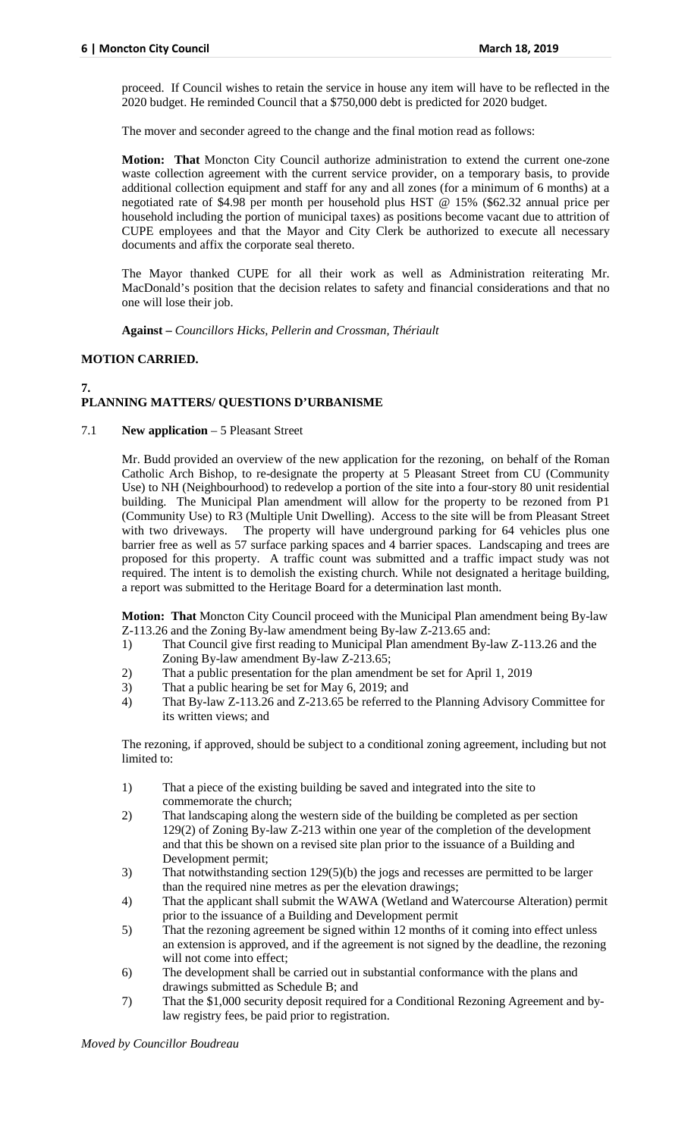proceed. If Council wishes to retain the service in house any item will have to be reflected in the 2020 budget. He reminded Council that a \$750,000 debt is predicted for 2020 budget.

The mover and seconder agreed to the change and the final motion read as follows:

**Motion: That** Moncton City Council authorize administration to extend the current one-zone waste collection agreement with the current service provider, on a temporary basis, to provide additional collection equipment and staff for any and all zones (for a minimum of 6 months) at a negotiated rate of \$4.98 per month per household plus HST @ 15% (\$62.32 annual price per household including the portion of municipal taxes) as positions become vacant due to attrition of CUPE employees and that the Mayor and City Clerk be authorized to execute all necessary documents and affix the corporate seal thereto.

The Mayor thanked CUPE for all their work as well as Administration reiterating Mr. MacDonald's position that the decision relates to safety and financial considerations and that no one will lose their job.

**Against –** *Councillors Hicks, Pellerin and Crossman, Thériault*

## **MOTION CARRIED.**

#### **7. PLANNING MATTERS/ QUESTIONS D'URBANISME**

## 7.1 **New application** – 5 Pleasant Street

Mr. Budd provided an overview of the new application for the rezoning, on behalf of the Roman Catholic Arch Bishop, to re-designate the property at 5 Pleasant Street from CU (Community Use) to NH (Neighbourhood) to redevelop a portion of the site into a four-story 80 unit residential building. The Municipal Plan amendment will allow for the property to be rezoned from P1 (Community Use) to R3 (Multiple Unit Dwelling). Access to the site will be from Pleasant Street with two driveways. The property will have underground parking for 64 vehicles plus one barrier free as well as 57 surface parking spaces and 4 barrier spaces. Landscaping and trees are proposed for this property. A traffic count was submitted and a traffic impact study was not required. The intent is to demolish the existing church. While not designated a heritage building, a report was submitted to the Heritage Board for a determination last month.

**Motion: That** Moncton City Council proceed with the Municipal Plan amendment being By-law Z-113.26 and the Zoning By-law amendment being By-law Z-213.65 and:

- 1) That Council give first reading to Municipal Plan amendment By-law Z-113.26 and the Zoning By-law amendment By-law Z-213.65;
- 2) That a public presentation for the plan amendment be set for April 1, 2019<br>
That a public hearing be set for May 6, 2019: and
- That a public hearing be set for May 6, 2019; and
- 4) That By-law Z-113.26 and Z-213.65 be referred to the Planning Advisory Committee for its written views; and

The rezoning, if approved, should be subject to a conditional zoning agreement, including but not limited to:

- 1) That a piece of the existing building be saved and integrated into the site to commemorate the church;
- 2) That landscaping along the western side of the building be completed as per section 129(2) of Zoning By-law Z-213 within one year of the completion of the development and that this be shown on a revised site plan prior to the issuance of a Building and Development permit;
- 3) That notwithstanding section 129(5)(b) the jogs and recesses are permitted to be larger than the required nine metres as per the elevation drawings;
- 4) That the applicant shall submit the WAWA (Wetland and Watercourse Alteration) permit prior to the issuance of a Building and Development permit
- 5) That the rezoning agreement be signed within 12 months of it coming into effect unless an extension is approved, and if the agreement is not signed by the deadline, the rezoning will not come into effect;
- 6) The development shall be carried out in substantial conformance with the plans and drawings submitted as Schedule B; and
- 7) That the \$1,000 security deposit required for a Conditional Rezoning Agreement and bylaw registry fees, be paid prior to registration.

*Moved by Councillor Boudreau*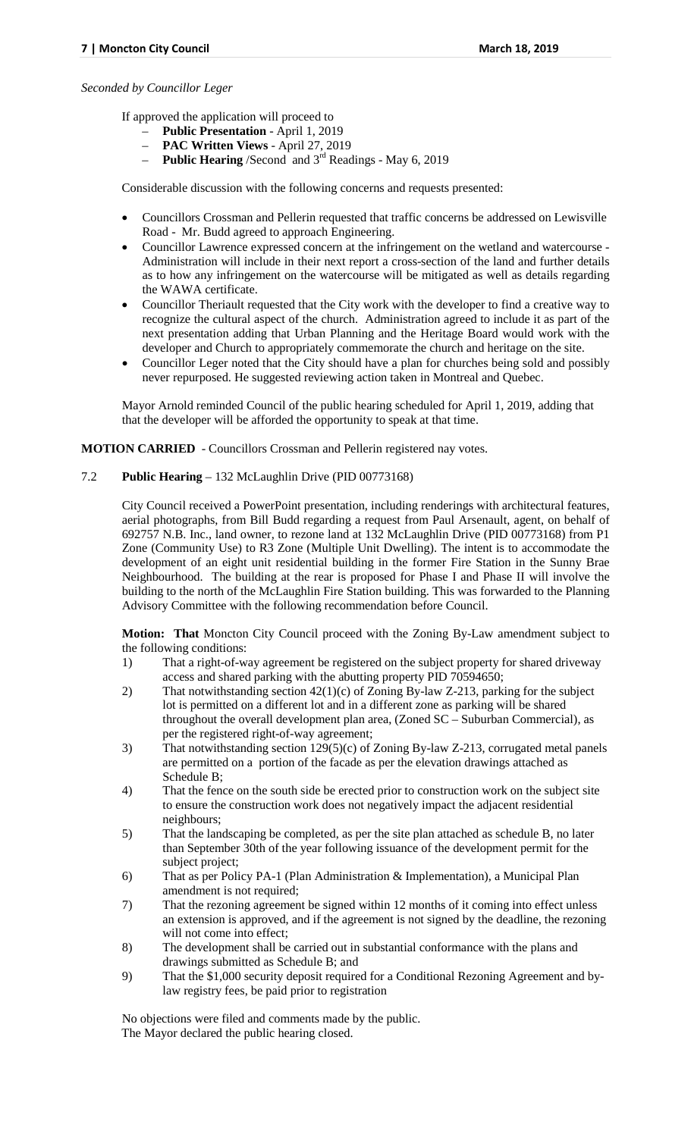#### *Seconded by Councillor Leger*

If approved the application will proceed to

- **Public Presentation** April 1, 2019
- **PAC Written Views** April 27, 2019
- **Public Hearing** /Second and 3rd Readings May 6, 2019

Considerable discussion with the following concerns and requests presented:

- Councillors Crossman and Pellerin requested that traffic concerns be addressed on Lewisville Road - Mr. Budd agreed to approach Engineering.
- Councillor Lawrence expressed concern at the infringement on the wetland and watercourse Administration will include in their next report a cross-section of the land and further details as to how any infringement on the watercourse will be mitigated as well as details regarding the WAWA certificate.
- Councillor Theriault requested that the City work with the developer to find a creative way to recognize the cultural aspect of the church. Administration agreed to include it as part of the next presentation adding that Urban Planning and the Heritage Board would work with the developer and Church to appropriately commemorate the church and heritage on the site.
- Councillor Leger noted that the City should have a plan for churches being sold and possibly never repurposed. He suggested reviewing action taken in Montreal and Quebec.

Mayor Arnold reminded Council of the public hearing scheduled for April 1, 2019, adding that that the developer will be afforded the opportunity to speak at that time.

**MOTION CARRIED** - Councillors Crossman and Pellerin registered nay votes.

#### 7.2 **Public Hearing** – 132 McLaughlin Drive (PID 00773168)

City Council received a PowerPoint presentation, including renderings with architectural features, aerial photographs, from Bill Budd regarding a request from Paul Arsenault, agent, on behalf of 692757 N.B. Inc., land owner, to rezone land at 132 McLaughlin Drive (PID 00773168) from P1 Zone (Community Use) to R3 Zone (Multiple Unit Dwelling). The intent is to accommodate the development of an eight unit residential building in the former Fire Station in the Sunny Brae Neighbourhood. The building at the rear is proposed for Phase I and Phase II will involve the building to the north of the McLaughlin Fire Station building. This was forwarded to the Planning Advisory Committee with the following recommendation before Council.

**Motion: That** Moncton City Council proceed with the Zoning By-Law amendment subject to the following conditions:

- 1) That a right-of-way agreement be registered on the subject property for shared driveway access and shared parking with the abutting property PID 70594650;
- 2) That notwithstanding section 42(1)(c) of Zoning By-law Z-213, parking for the subject lot is permitted on a different lot and in a different zone as parking will be shared throughout the overall development plan area, (Zoned SC – Suburban Commercial), as per the registered right-of-way agreement;
- 3) That notwithstanding section 129(5)(c) of Zoning By-law Z-213, corrugated metal panels are permitted on a portion of the facade as per the elevation drawings attached as Schedule B;
- 4) That the fence on the south side be erected prior to construction work on the subject site to ensure the construction work does not negatively impact the adjacent residential neighbours;
- 5) That the landscaping be completed, as per the site plan attached as schedule B, no later than September 30th of the year following issuance of the development permit for the subject project;
- 6) That as per Policy PA-1 (Plan Administration & Implementation), a Municipal Plan amendment is not required;
- 7) That the rezoning agreement be signed within 12 months of it coming into effect unless an extension is approved, and if the agreement is not signed by the deadline, the rezoning will not come into effect;
- 8) The development shall be carried out in substantial conformance with the plans and drawings submitted as Schedule B; and
- 9) That the \$1,000 security deposit required for a Conditional Rezoning Agreement and bylaw registry fees, be paid prior to registration

No objections were filed and comments made by the public. The Mayor declared the public hearing closed.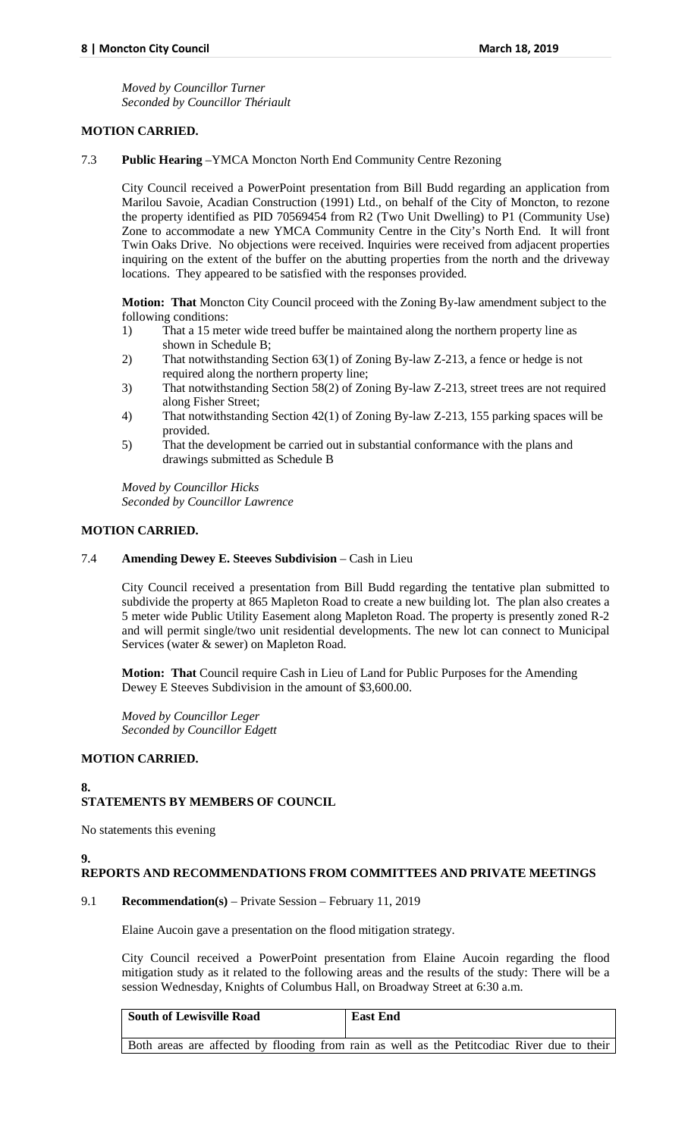*Moved by Councillor Turner Seconded by Councillor Thériault*

# **MOTION CARRIED.**

#### 7.3 **Public Hearing** –YMCA Moncton North End Community Centre Rezoning

City Council received a PowerPoint presentation from Bill Budd regarding an application from Marilou Savoie, Acadian Construction (1991) Ltd., on behalf of the City of Moncton, to rezone the property identified as PID 70569454 from R2 (Two Unit Dwelling) to P1 (Community Use) Zone to accommodate a new YMCA Community Centre in the City's North End. It will front Twin Oaks Drive. No objections were received. Inquiries were received from adjacent properties inquiring on the extent of the buffer on the abutting properties from the north and the driveway locations. They appeared to be satisfied with the responses provided.

**Motion: That** Moncton City Council proceed with the Zoning By-law amendment subject to the following conditions:

- 1) That a 15 meter wide treed buffer be maintained along the northern property line as shown in Schedule B;
- 2) That notwithstanding Section 63(1) of Zoning By-law Z-213, a fence or hedge is not required along the northern property line;
- 3) That notwithstanding Section 58(2) of Zoning By-law Z-213, street trees are not required along Fisher Street;
- 4) That notwithstanding Section 42(1) of Zoning By-law Z-213, 155 parking spaces will be provided.
- 5) That the development be carried out in substantial conformance with the plans and drawings submitted as Schedule B

*Moved by Councillor Hicks Seconded by Councillor Lawrence*

#### **MOTION CARRIED.**

#### 7.4 **Amending Dewey E. Steeves Subdivision** – Cash in Lieu

City Council received a presentation from Bill Budd regarding the tentative plan submitted to subdivide the property at 865 Mapleton Road to create a new building lot. The plan also creates a 5 meter wide Public Utility Easement along Mapleton Road. The property is presently zoned R-2 and will permit single/two unit residential developments. The new lot can connect to Municipal Services (water & sewer) on Mapleton Road.

**Motion: That** Council require Cash in Lieu of Land for Public Purposes for the Amending Dewey E Steeves Subdivision in the amount of \$3,600.00.

*Moved by Councillor Leger Seconded by Councillor Edgett*

# **MOTION CARRIED.**

## **8.**

# **STATEMENTS BY MEMBERS OF COUNCIL**

No statements this evening

## **9.**

## **REPORTS AND RECOMMENDATIONS FROM COMMITTEES AND PRIVATE MEETINGS**

## 9.1 **Recommendation(s)** – Private Session – February 11, 2019

Elaine Aucoin gave a presentation on the flood mitigation strategy.

City Council received a PowerPoint presentation from Elaine Aucoin regarding the flood mitigation study as it related to the following areas and the results of the study: There will be a session Wednesday, Knights of Columbus Hall, on Broadway Street at 6:30 a.m.

| <b>South of Lewisville Road</b> | <b>East End</b>                                                                             |
|---------------------------------|---------------------------------------------------------------------------------------------|
|                                 | Both areas are affected by flooding from rain as well as the Petitcodiac River due to their |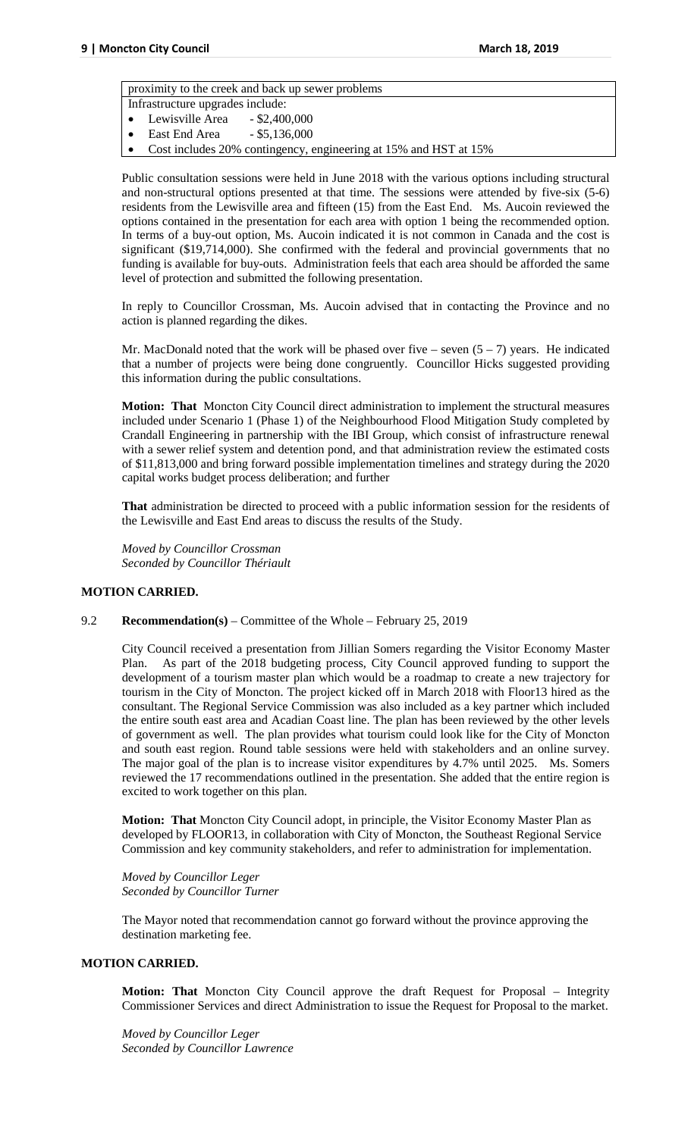proximity to the creek and back up sewer problems

- Infrastructure upgrades include:
- Lewisville Area \$2,400,000
- East End Area \$5,136,000
- Cost includes 20% contingency, engineering at 15% and HST at 15%

Public consultation sessions were held in June 2018 with the various options including structural and non-structural options presented at that time. The sessions were attended by five-six (5-6) residents from the Lewisville area and fifteen (15) from the East End. Ms. Aucoin reviewed the options contained in the presentation for each area with option 1 being the recommended option. In terms of a buy-out option, Ms. Aucoin indicated it is not common in Canada and the cost is significant (\$19,714,000). She confirmed with the federal and provincial governments that no funding is available for buy-outs. Administration feels that each area should be afforded the same level of protection and submitted the following presentation.

In reply to Councillor Crossman, Ms. Aucoin advised that in contacting the Province and no action is planned regarding the dikes.

Mr. MacDonald noted that the work will be phased over five – seven  $(5 – 7)$  years. He indicated that a number of projects were being done congruently. Councillor Hicks suggested providing this information during the public consultations.

**Motion: That** Moncton City Council direct administration to implement the structural measures included under Scenario 1 (Phase 1) of the Neighbourhood Flood Mitigation Study completed by Crandall Engineering in partnership with the IBI Group, which consist of infrastructure renewal with a sewer relief system and detention pond, and that administration review the estimated costs of \$11,813,000 and bring forward possible implementation timelines and strategy during the 2020 capital works budget process deliberation; and further

**That** administration be directed to proceed with a public information session for the residents of the Lewisville and East End areas to discuss the results of the Study.

*Moved by Councillor Crossman Seconded by Councillor Thériault*

## **MOTION CARRIED.**

## 9.2 **Recommendation(s)** – Committee of the Whole – February 25, 2019

City Council received a presentation from Jillian Somers regarding the Visitor Economy Master Plan. As part of the 2018 budgeting process, City Council approved funding to support the development of a tourism master plan which would be a roadmap to create a new trajectory for tourism in the City of Moncton. The project kicked off in March 2018 with Floor13 hired as the consultant. The Regional Service Commission was also included as a key partner which included the entire south east area and Acadian Coast line. The plan has been reviewed by the other levels of government as well. The plan provides what tourism could look like for the City of Moncton and south east region. Round table sessions were held with stakeholders and an online survey. The major goal of the plan is to increase visitor expenditures by 4.7% until 2025. Ms. Somers reviewed the 17 recommendations outlined in the presentation. She added that the entire region is excited to work together on this plan.

**Motion: That** Moncton City Council adopt, in principle, the Visitor Economy Master Plan as developed by FLOOR13, in collaboration with City of Moncton, the Southeast Regional Service Commission and key community stakeholders, and refer to administration for implementation.

*Moved by Councillor Leger Seconded by Councillor Turner*

The Mayor noted that recommendation cannot go forward without the province approving the destination marketing fee.

## **MOTION CARRIED.**

**Motion: That** Moncton City Council approve the draft Request for Proposal – Integrity Commissioner Services and direct Administration to issue the Request for Proposal to the market.

*Moved by Councillor Leger Seconded by Councillor Lawrence*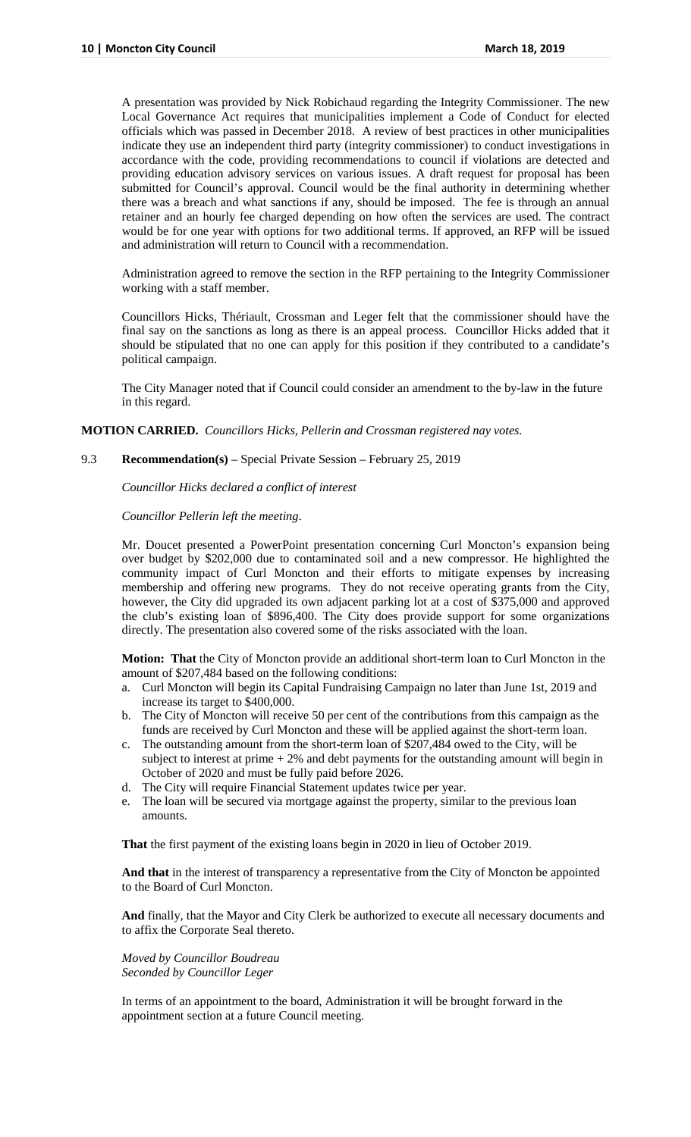A presentation was provided by Nick Robichaud regarding the Integrity Commissioner. The new Local Governance Act requires that municipalities implement a Code of Conduct for elected officials which was passed in December 2018. A review of best practices in other municipalities indicate they use an independent third party (integrity commissioner) to conduct investigations in accordance with the code, providing recommendations to council if violations are detected and providing education advisory services on various issues. A draft request for proposal has been submitted for Council's approval. Council would be the final authority in determining whether there was a breach and what sanctions if any, should be imposed. The fee is through an annual retainer and an hourly fee charged depending on how often the services are used. The contract would be for one year with options for two additional terms. If approved, an RFP will be issued and administration will return to Council with a recommendation.

Administration agreed to remove the section in the RFP pertaining to the Integrity Commissioner working with a staff member.

Councillors Hicks, Thériault, Crossman and Leger felt that the commissioner should have the final say on the sanctions as long as there is an appeal process. Councillor Hicks added that it should be stipulated that no one can apply for this position if they contributed to a candidate's political campaign.

The City Manager noted that if Council could consider an amendment to the by-law in the future in this regard.

#### **MOTION CARRIED.** *Councillors Hicks, Pellerin and Crossman registered nay votes.*

#### 9.3 **Recommendation(s)** – Special Private Session – February 25, 2019

*Councillor Hicks declared a conflict of interest* 

*Councillor Pellerin left the meeting*.

Mr. Doucet presented a PowerPoint presentation concerning Curl Moncton's expansion being over budget by \$202,000 due to contaminated soil and a new compressor. He highlighted the community impact of Curl Moncton and their efforts to mitigate expenses by increasing membership and offering new programs. They do not receive operating grants from the City, however, the City did upgraded its own adjacent parking lot at a cost of \$375,000 and approved the club's existing loan of \$896,400. The City does provide support for some organizations directly. The presentation also covered some of the risks associated with the loan.

**Motion: That** the City of Moncton provide an additional short-term loan to Curl Moncton in the amount of \$207,484 based on the following conditions:

- a. Curl Moncton will begin its Capital Fundraising Campaign no later than June 1st, 2019 and increase its target to \$400,000.
- b. The City of Moncton will receive 50 per cent of the contributions from this campaign as the funds are received by Curl Moncton and these will be applied against the short-term loan.
- c. The outstanding amount from the short-term loan of \$207,484 owed to the City, will be subject to interest at prime + 2% and debt payments for the outstanding amount will begin in October of 2020 and must be fully paid before 2026.
- d. The City will require Financial Statement updates twice per year.
- e. The loan will be secured via mortgage against the property, similar to the previous loan amounts.

**That** the first payment of the existing loans begin in 2020 in lieu of October 2019.

**And that** in the interest of transparency a representative from the City of Moncton be appointed to the Board of Curl Moncton.

**And** finally, that the Mayor and City Clerk be authorized to execute all necessary documents and to affix the Corporate Seal thereto.

*Moved by Councillor Boudreau Seconded by Councillor Leger*

In terms of an appointment to the board, Administration it will be brought forward in the appointment section at a future Council meeting.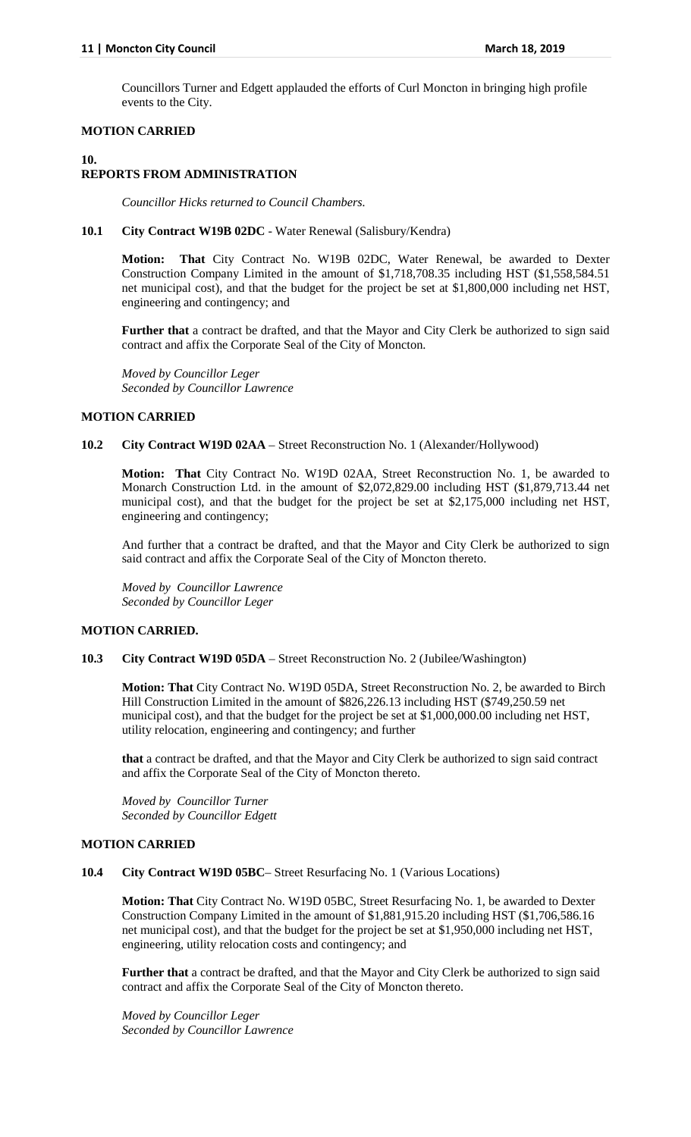Councillors Turner and Edgett applauded the efforts of Curl Moncton in bringing high profile events to the City.

## **MOTION CARRIED**

# **10.**

# **REPORTS FROM ADMINISTRATION**

*Councillor Hicks returned to Council Chambers.*

#### **10.1 City Contract W19B 02DC** - Water Renewal (Salisbury/Kendra)

**Motion: That** City Contract No. W19B 02DC, Water Renewal, be awarded to Dexter Construction Company Limited in the amount of \$1,718,708.35 including HST (\$1,558,584.51 net municipal cost), and that the budget for the project be set at \$1,800,000 including net HST, engineering and contingency; and

**Further that** a contract be drafted, and that the Mayor and City Clerk be authorized to sign said contract and affix the Corporate Seal of the City of Moncton.

*Moved by Councillor Leger Seconded by Councillor Lawrence*

## **MOTION CARRIED**

## **10.2 City Contract W19D 02AA** – Street Reconstruction No. 1 (Alexander/Hollywood)

**Motion: That** City Contract No. W19D 02AA, Street Reconstruction No. 1, be awarded to Monarch Construction Ltd. in the amount of \$2,072,829.00 including HST (\$1,879,713.44 net municipal cost), and that the budget for the project be set at \$2,175,000 including net HST, engineering and contingency;

And further that a contract be drafted, and that the Mayor and City Clerk be authorized to sign said contract and affix the Corporate Seal of the City of Moncton thereto.

*Moved by Councillor Lawrence Seconded by Councillor Leger*

## **MOTION CARRIED.**

**10.3 City Contract W19D 05DA** – Street Reconstruction No. 2 (Jubilee/Washington)

**Motion: That** City Contract No. W19D 05DA, Street Reconstruction No. 2, be awarded to Birch Hill Construction Limited in the amount of \$826,226.13 including HST (\$749,250.59 net municipal cost), and that the budget for the project be set at \$1,000,000.00 including net HST, utility relocation, engineering and contingency; and further

**that** a contract be drafted, and that the Mayor and City Clerk be authorized to sign said contract and affix the Corporate Seal of the City of Moncton thereto.

*Moved by Councillor Turner Seconded by Councillor Edgett*

## **MOTION CARRIED**

#### **10.4 City Contract W19D 05BC**– Street Resurfacing No. 1 (Various Locations)

**Motion: That** City Contract No. W19D 05BC, Street Resurfacing No. 1, be awarded to Dexter Construction Company Limited in the amount of \$1,881,915.20 including HST (\$1,706,586.16 net municipal cost), and that the budget for the project be set at \$1,950,000 including net HST, engineering, utility relocation costs and contingency; and

**Further that** a contract be drafted, and that the Mayor and City Clerk be authorized to sign said contract and affix the Corporate Seal of the City of Moncton thereto.

*Moved by Councillor Leger Seconded by Councillor Lawrence*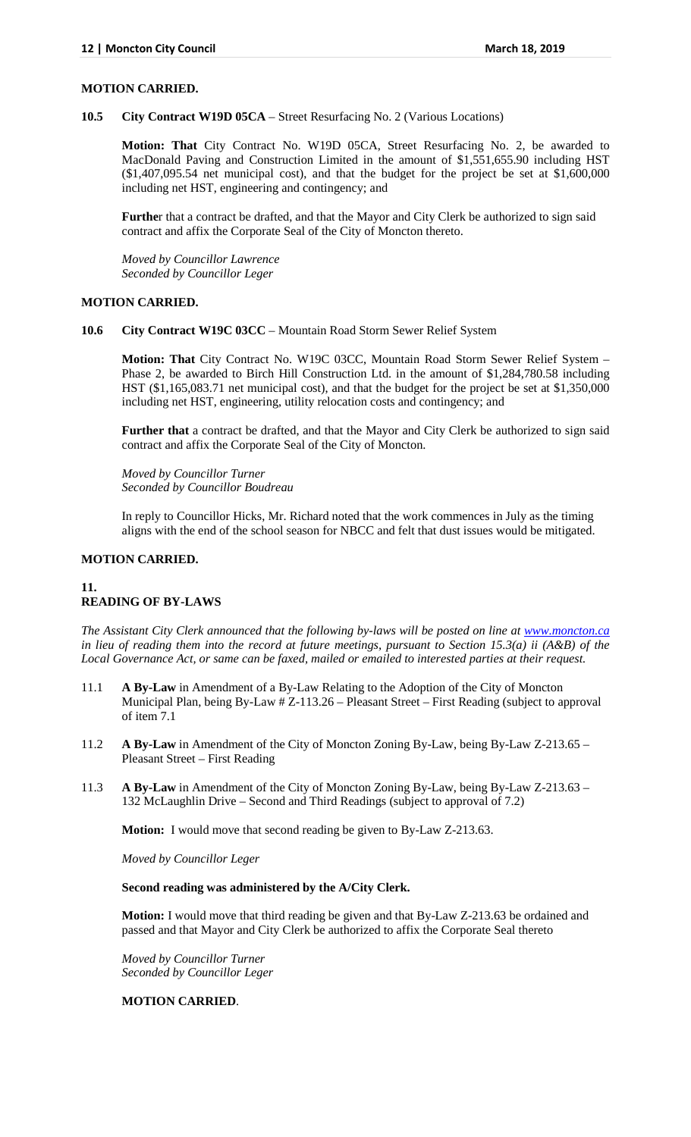#### **MOTION CARRIED.**

**10.5 City Contract W19D 05CA** – Street Resurfacing No. 2 (Various Locations)

**Motion: That** City Contract No. W19D 05CA, Street Resurfacing No. 2, be awarded to MacDonald Paving and Construction Limited in the amount of \$1,551,655.90 including HST  $($1,407,095.54$  net municipal cost), and that the budget for the project be set at \$1,600,000 including net HST, engineering and contingency; and

**Furthe**r that a contract be drafted, and that the Mayor and City Clerk be authorized to sign said contract and affix the Corporate Seal of the City of Moncton thereto.

*Moved by Councillor Lawrence Seconded by Councillor Leger*

#### **MOTION CARRIED.**

**10.6 City Contract W19C 03CC** – Mountain Road Storm Sewer Relief System

**Motion: That** City Contract No. W19C 03CC, Mountain Road Storm Sewer Relief System – Phase 2, be awarded to Birch Hill Construction Ltd. in the amount of \$1,284,780.58 including HST (\$1,165,083.71 net municipal cost), and that the budget for the project be set at \$1,350,000 including net HST, engineering, utility relocation costs and contingency; and

**Further that** a contract be drafted, and that the Mayor and City Clerk be authorized to sign said contract and affix the Corporate Seal of the City of Moncton.

*Moved by Councillor Turner Seconded by Councillor Boudreau*

In reply to Councillor Hicks, Mr. Richard noted that the work commences in July as the timing aligns with the end of the school season for NBCC and felt that dust issues would be mitigated.

# **MOTION CARRIED.**

## **11. READING OF BY-LAWS**

*The Assistant City Clerk announced that the following by-laws will be posted on line at [www.moncton.ca](http://www.moncton.ca/) in lieu of reading them into the record at future meetings, pursuant to Section 15.3(a) ii (A&B) of the Local Governance Act, or same can be faxed, mailed or emailed to interested parties at their request.*

- 11.1 **A By-Law** in Amendment of a By-Law Relating to the Adoption of the City of Moncton Municipal Plan, being By-Law # Z-113.26 – Pleasant Street – First Reading (subject to approval of item 7.1
- 11.2 **A By-Law** in Amendment of the City of Moncton Zoning By-Law, being By-Law Z-213.65 Pleasant Street – First Reading
- 11.3 **A By-Law** in Amendment of the City of Moncton Zoning By-Law, being By-Law Z-213.63 132 McLaughlin Drive – Second and Third Readings (subject to approval of 7.2)

**Motion:** I would move that second reading be given to By-Law Z-213.63.

*Moved by Councillor Leger*

#### **Second reading was administered by the A/City Clerk.**

**Motion:** I would move that third reading be given and that By-Law Z-213.63 be ordained and passed and that Mayor and City Clerk be authorized to affix the Corporate Seal thereto

*Moved by Councillor Turner Seconded by Councillor Leger*

#### **MOTION CARRIED**.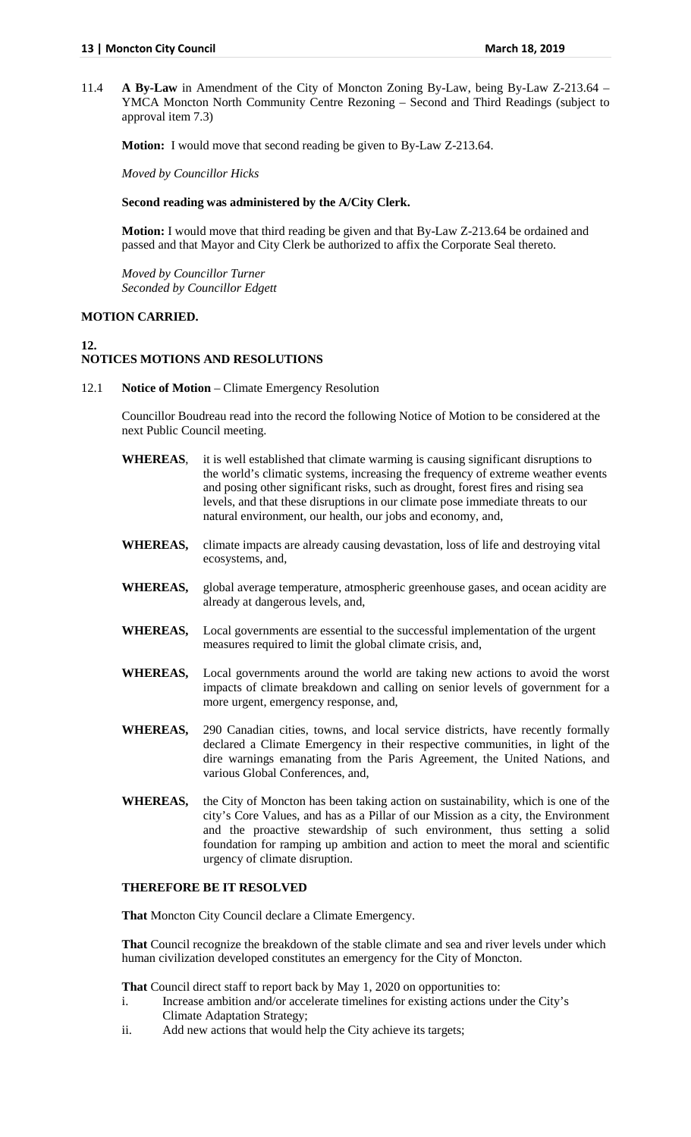11.4 **A By-Law** in Amendment of the City of Moncton Zoning By-Law, being By-Law Z-213.64 – YMCA Moncton North Community Centre Rezoning – Second and Third Readings (subject to approval item 7.3)

**Motion:** I would move that second reading be given to By-Law Z-213.64.

*Moved by Councillor Hicks*

#### **Second reading was administered by the A/City Clerk.**

**Motion:** I would move that third reading be given and that By-Law Z-213.64 be ordained and passed and that Mayor and City Clerk be authorized to affix the Corporate Seal thereto.

*Moved by Councillor Turner Seconded by Councillor Edgett*

## **MOTION CARRIED.**

#### **12. NOTICES MOTIONS AND RESOLUTIONS**

12.1 **Notice of Motion** – Climate Emergency Resolution

Councillor Boudreau read into the record the following Notice of Motion to be considered at the next Public Council meeting.

- **WHEREAS**, it is well established that climate warming is causing significant disruptions to the world's climatic systems, increasing the frequency of extreme weather events and posing other significant risks, such as drought, forest fires and rising sea levels, and that these disruptions in our climate pose immediate threats to our natural environment, our health, our jobs and economy, and,
- **WHEREAS,** climate impacts are already causing devastation, loss of life and destroying vital ecosystems, and,
- **WHEREAS,** global average temperature, atmospheric greenhouse gases, and ocean acidity are already at dangerous levels, and,
- **WHEREAS,** Local governments are essential to the successful implementation of the urgent measures required to limit the global climate crisis, and,
- **WHEREAS,** Local governments around the world are taking new actions to avoid the worst impacts of climate breakdown and calling on senior levels of government for a more urgent, emergency response, and,
- **WHEREAS,** 290 Canadian cities, towns, and local service districts, have recently formally declared a Climate Emergency in their respective communities, in light of the dire warnings emanating from the Paris Agreement, the United Nations, and various Global Conferences, and,
- **WHEREAS,** the City of Moncton has been taking action on sustainability, which is one of the city's Core Values, and has as a Pillar of our Mission as a city, the Environment and the proactive stewardship of such environment, thus setting a solid foundation for ramping up ambition and action to meet the moral and scientific urgency of climate disruption.

# **THEREFORE BE IT RESOLVED**

**That** Moncton City Council declare a Climate Emergency.

**That** Council recognize the breakdown of the stable climate and sea and river levels under which human civilization developed constitutes an emergency for the City of Moncton.

**That** Council direct staff to report back by May 1, 2020 on opportunities to:

- i. Increase ambition and/or accelerate timelines for existing actions under the City's Climate Adaptation Strategy;
- ii. Add new actions that would help the City achieve its targets;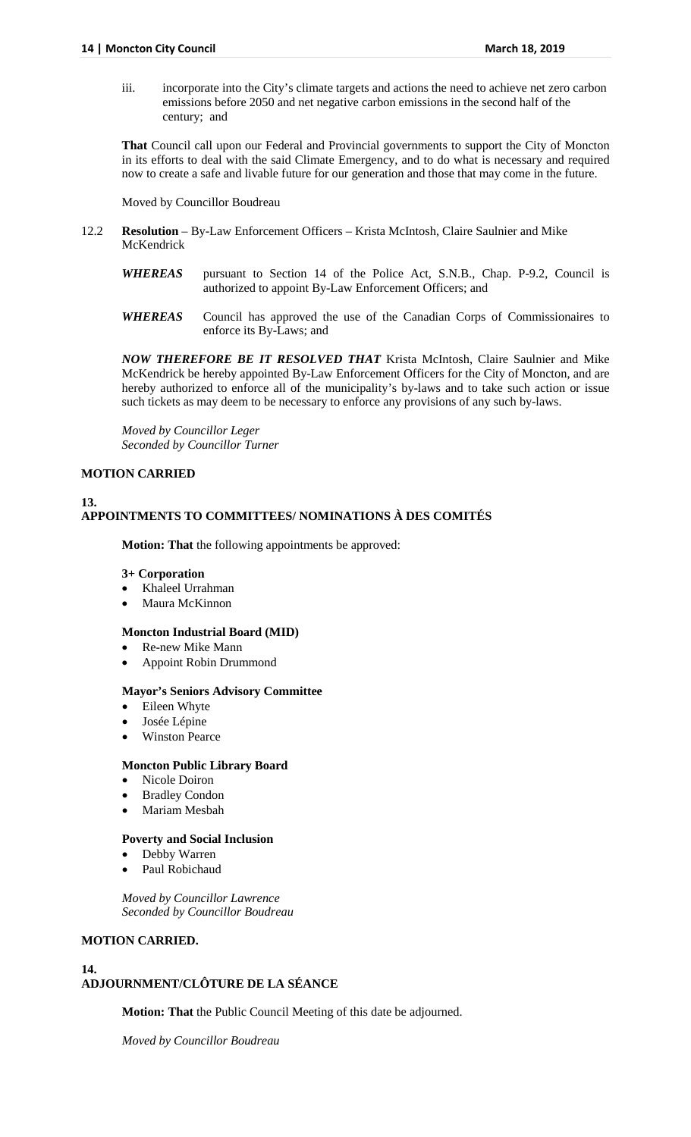iii. incorporate into the City's climate targets and actions the need to achieve net zero carbon emissions before 2050 and net negative carbon emissions in the second half of the century; and

**That** Council call upon our Federal and Provincial governments to support the City of Moncton in its efforts to deal with the said Climate Emergency, and to do what is necessary and required now to create a safe and livable future for our generation and those that may come in the future.

Moved by Councillor Boudreau

- 12.2 **Resolution** By-Law Enforcement Officers Krista McIntosh, Claire Saulnier and Mike McKendrick
	- *WHEREAS* pursuant to Section 14 of the Police Act, S.N.B., Chap. P-9.2, Council is authorized to appoint By-Law Enforcement Officers; and
	- *WHEREAS* Council has approved the use of the Canadian Corps of Commissionaires to enforce its By-Laws; and

*NOW THEREFORE BE IT RESOLVED THAT* Krista McIntosh, Claire Saulnier and Mike McKendrick be hereby appointed By-Law Enforcement Officers for the City of Moncton, and are hereby authorized to enforce all of the municipality's by-laws and to take such action or issue such tickets as may deem to be necessary to enforce any provisions of any such by-laws.

*Moved by Councillor Leger Seconded by Councillor Turner*

# **MOTION CARRIED**

**13.**

# **APPOINTMENTS TO COMMITTEES/ NOMINATIONS À DES COMITÉS**

**Motion: That** the following appointments be approved:

#### **3+ Corporation**

- Khaleel Urrahman
- Maura McKinnon

## **Moncton Industrial Board (MID)**

- Re-new Mike Mann
- Appoint Robin Drummond

## **Mayor's Seniors Advisory Committee**

- Eileen Whyte
- Josée Lépine
- Winston Pearce

#### **Moncton Public Library Board**

- Nicole Doiron
- Bradley Condon
- Mariam Mesbah

# **Poverty and Social Inclusion**

- Debby Warren
- Paul Robichaud

*Moved by Councillor Lawrence Seconded by Councillor Boudreau*

# **MOTION CARRIED.**

#### **14.**

# **ADJOURNMENT/CLÔTURE DE LA SÉANCE**

**Motion: That** the Public Council Meeting of this date be adjourned.

*Moved by Councillor Boudreau*